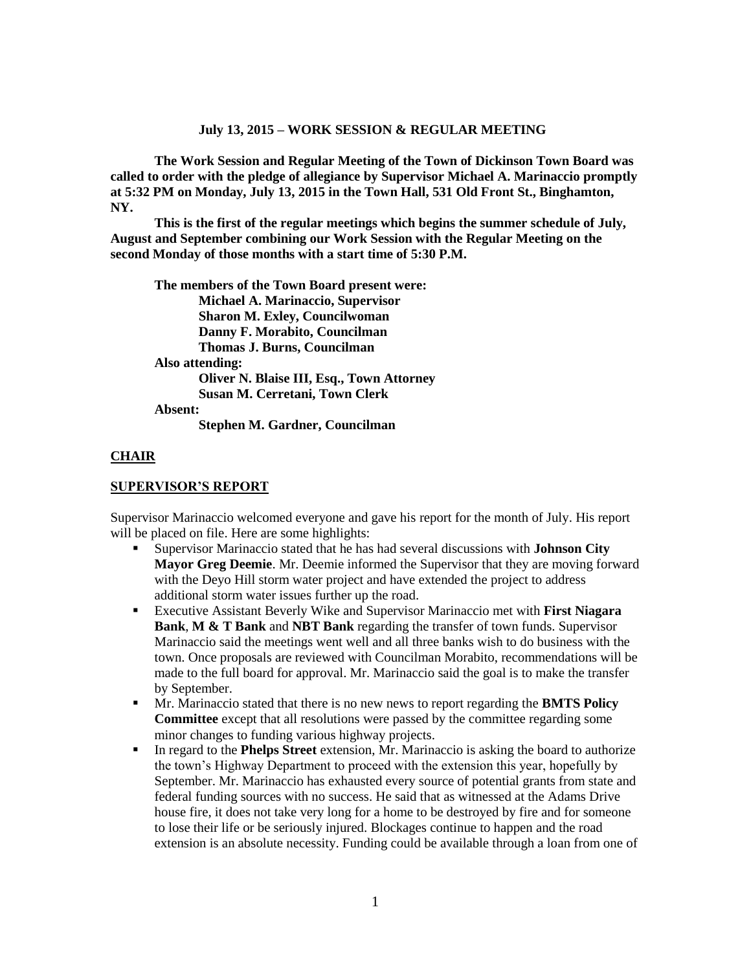#### **July 13, 2015 – WORK SESSION & REGULAR MEETING**

**The Work Session and Regular Meeting of the Town of Dickinson Town Board was called to order with the pledge of allegiance by Supervisor Michael A. Marinaccio promptly at 5:32 PM on Monday, July 13, 2015 in the Town Hall, 531 Old Front St., Binghamton, NY.** 

**This is the first of the regular meetings which begins the summer schedule of July, August and September combining our Work Session with the Regular Meeting on the second Monday of those months with a start time of 5:30 P.M.**

**The members of the Town Board present were: Michael A. Marinaccio, Supervisor Sharon M. Exley, Councilwoman Danny F. Morabito, Councilman Thomas J. Burns, Councilman Also attending: Oliver N. Blaise III, Esq., Town Attorney Susan M. Cerretani, Town Clerk Absent: Stephen M. Gardner, Councilman**

#### **CHAIR**

#### **SUPERVISOR'S REPORT**

Supervisor Marinaccio welcomed everyone and gave his report for the month of July. His report will be placed on file. Here are some highlights:

- Supervisor Marinaccio stated that he has had several discussions with **Johnson City Mayor Greg Deemie**. Mr. Deemie informed the Supervisor that they are moving forward with the Deyo Hill storm water project and have extended the project to address additional storm water issues further up the road.
- Executive Assistant Beverly Wike and Supervisor Marinaccio met with **First Niagara Bank**, **M & T Bank** and **NBT Bank** regarding the transfer of town funds. Supervisor Marinaccio said the meetings went well and all three banks wish to do business with the town. Once proposals are reviewed with Councilman Morabito, recommendations will be made to the full board for approval. Mr. Marinaccio said the goal is to make the transfer by September.
- Mr. Marinaccio stated that there is no new news to report regarding the **BMTS Policy Committee** except that all resolutions were passed by the committee regarding some minor changes to funding various highway projects.
- In regard to the **Phelps Street** extension, Mr. Marinaccio is asking the board to authorize the town's Highway Department to proceed with the extension this year, hopefully by September. Mr. Marinaccio has exhausted every source of potential grants from state and federal funding sources with no success. He said that as witnessed at the Adams Drive house fire, it does not take very long for a home to be destroyed by fire and for someone to lose their life or be seriously injured. Blockages continue to happen and the road extension is an absolute necessity. Funding could be available through a loan from one of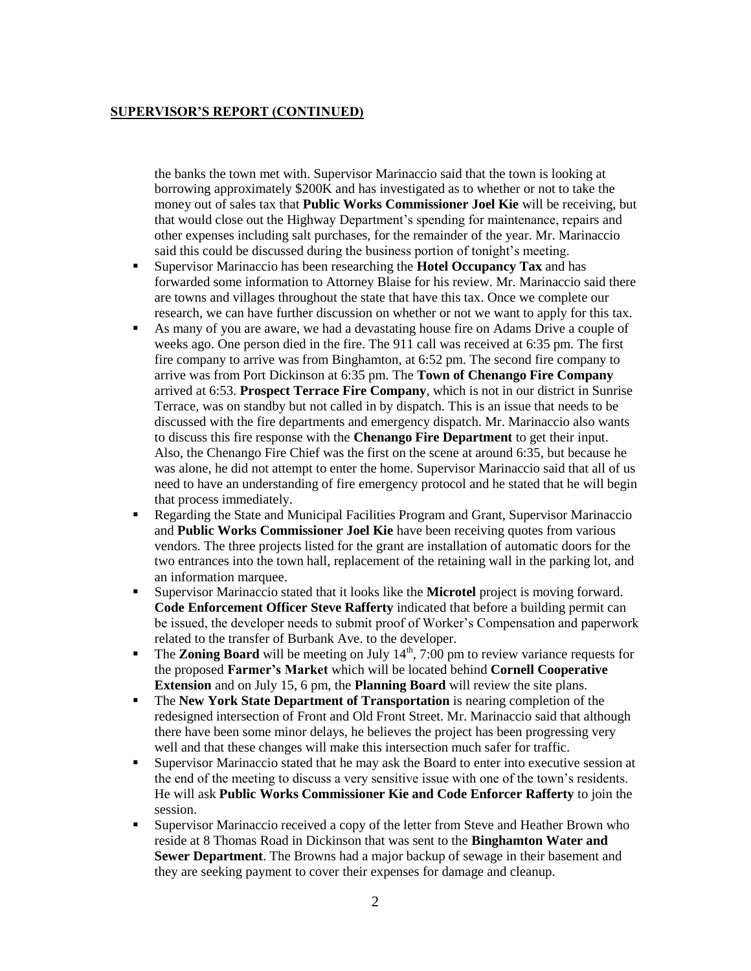# **SUPERVISOR'S REPORT (CONTINUED)**

the banks the town met with. Supervisor Marinaccio said that the town is looking at borrowing approximately \$200K and has investigated as to whether or not to take the money out of sales tax that **Public Works Commissioner Joel Kie** will be receiving, but that would close out the Highway Department's spending for maintenance, repairs and other expenses including salt purchases, for the remainder of the year. Mr. Marinaccio said this could be discussed during the business portion of tonight's meeting.

- Supervisor Marinaccio has been researching the **Hotel Occupancy Tax** and has forwarded some information to Attorney Blaise for his review. Mr. Marinaccio said there are towns and villages throughout the state that have this tax. Once we complete our research, we can have further discussion on whether or not we want to apply for this tax.
- As many of you are aware, we had a devastating house fire on Adams Drive a couple of weeks ago. One person died in the fire. The 911 call was received at 6:35 pm. The first fire company to arrive was from Binghamton, at 6:52 pm. The second fire company to arrive was from Port Dickinson at 6:35 pm. The **Town of Chenango Fire Company** arrived at 6:53. **Prospect Terrace Fire Company**, which is not in our district in Sunrise Terrace, was on standby but not called in by dispatch. This is an issue that needs to be discussed with the fire departments and emergency dispatch. Mr. Marinaccio also wants to discuss this fire response with the **Chenango Fire Department** to get their input. Also, the Chenango Fire Chief was the first on the scene at around 6:35, but because he was alone, he did not attempt to enter the home. Supervisor Marinaccio said that all of us need to have an understanding of fire emergency protocol and he stated that he will begin that process immediately.
- Regarding the State and Municipal Facilities Program and Grant, Supervisor Marinaccio and **Public Works Commissioner Joel Kie** have been receiving quotes from various vendors. The three projects listed for the grant are installation of automatic doors for the two entrances into the town hall, replacement of the retaining wall in the parking lot, and an information marquee.
- Supervisor Marinaccio stated that it looks like the **Microtel** project is moving forward. **Code Enforcement Officer Steve Rafferty** indicated that before a building permit can be issued, the developer needs to submit proof of Worker's Compensation and paperwork related to the transfer of Burbank Ave. to the developer.
- **The Zoning Board** will be meeting on July  $14<sup>th</sup>$ , 7:00 pm to review variance requests for the proposed **Farmer's Market** which will be located behind **Cornell Cooperative Extension** and on July 15, 6 pm, the **Planning Board** will review the site plans.
- The **New York State Department of Transportation** is nearing completion of the redesigned intersection of Front and Old Front Street. Mr. Marinaccio said that although there have been some minor delays, he believes the project has been progressing very well and that these changes will make this intersection much safer for traffic.
- Supervisor Marinaccio stated that he may ask the Board to enter into executive session at the end of the meeting to discuss a very sensitive issue with one of the town's residents. He will ask **Public Works Commissioner Kie and Code Enforcer Rafferty** to join the session.
- Supervisor Marinaccio received a copy of the letter from Steve and Heather Brown who reside at 8 Thomas Road in Dickinson that was sent to the **Binghamton Water and Sewer Department**. The Browns had a major backup of sewage in their basement and they are seeking payment to cover their expenses for damage and cleanup.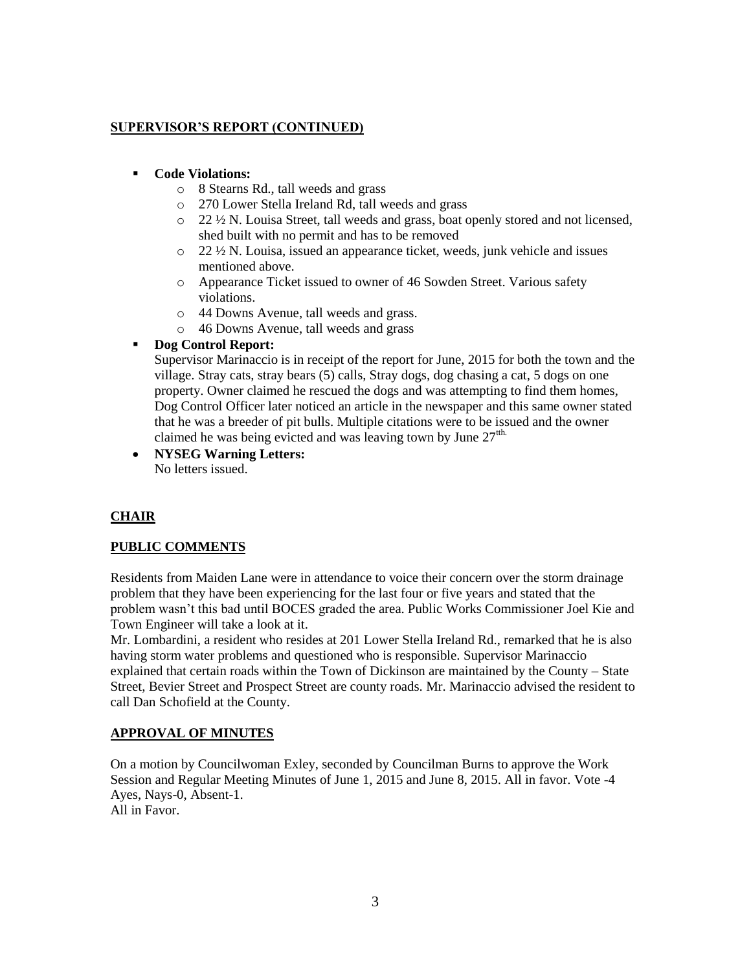# **SUPERVISOR'S REPORT (CONTINUED)**

### **Code Violations:**

- o 8 Stearns Rd., tall weeds and grass
- o 270 Lower Stella Ireland Rd, tall weeds and grass
- $\circ$  22  $\frac{1}{2}$  N. Louisa Street, tall weeds and grass, boat openly stored and not licensed, shed built with no permit and has to be removed
- o 22 ½ N. Louisa, issued an appearance ticket, weeds, junk vehicle and issues mentioned above.
- o Appearance Ticket issued to owner of 46 Sowden Street. Various safety violations.
- o 44 Downs Avenue, tall weeds and grass.
- o 46 Downs Avenue, tall weeds and grass

# **Dog Control Report:**

Supervisor Marinaccio is in receipt of the report for June, 2015 for both the town and the village. Stray cats, stray bears (5) calls, Stray dogs, dog chasing a cat, 5 dogs on one property. Owner claimed he rescued the dogs and was attempting to find them homes, Dog Control Officer later noticed an article in the newspaper and this same owner stated that he was a breeder of pit bulls. Multiple citations were to be issued and the owner claimed he was being evicted and was leaving town by June  $27<sup>th</sup>$ .

 **NYSEG Warning Letters:** No letters issued.

# **CHAIR**

### **PUBLIC COMMENTS**

Residents from Maiden Lane were in attendance to voice their concern over the storm drainage problem that they have been experiencing for the last four or five years and stated that the problem wasn't this bad until BOCES graded the area. Public Works Commissioner Joel Kie and Town Engineer will take a look at it.

Mr. Lombardini, a resident who resides at 201 Lower Stella Ireland Rd., remarked that he is also having storm water problems and questioned who is responsible. Supervisor Marinaccio explained that certain roads within the Town of Dickinson are maintained by the County – State Street, Bevier Street and Prospect Street are county roads. Mr. Marinaccio advised the resident to call Dan Schofield at the County.

### **APPROVAL OF MINUTES**

On a motion by Councilwoman Exley, seconded by Councilman Burns to approve the Work Session and Regular Meeting Minutes of June 1, 2015 and June 8, 2015. All in favor. Vote -4 Ayes, Nays-0, Absent-1. All in Favor.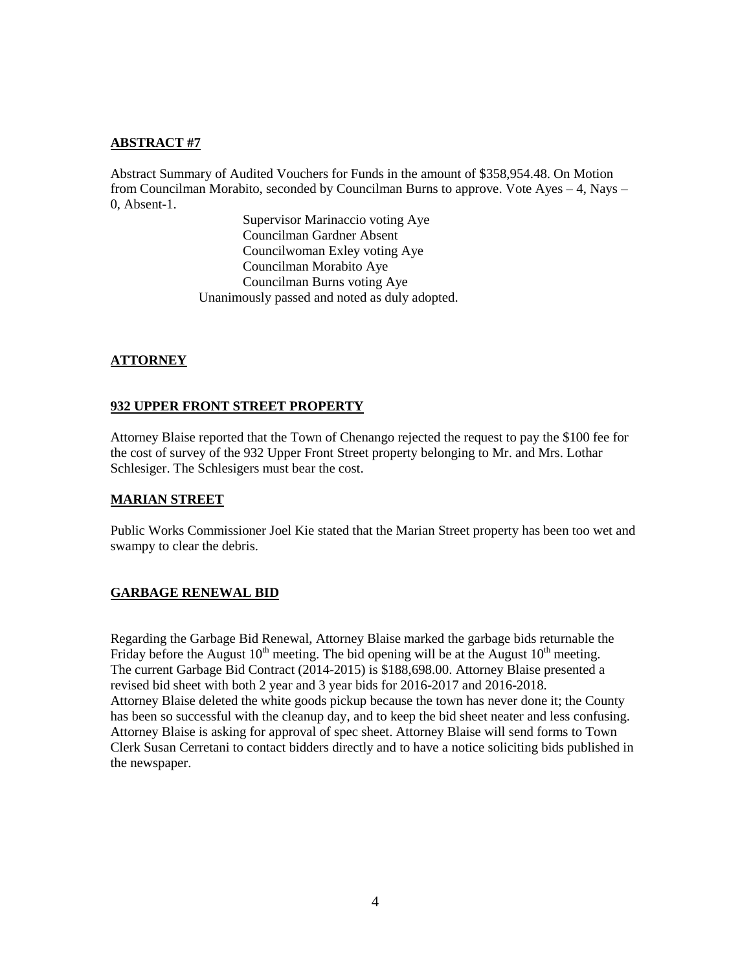### **ABSTRACT #7**

Abstract Summary of Audited Vouchers for Funds in the amount of \$358,954.48. On Motion from Councilman Morabito, seconded by Councilman Burns to approve. Vote Ayes – 4, Nays – 0, Absent-1.

> Supervisor Marinaccio voting Aye Councilman Gardner Absent Councilwoman Exley voting Aye Councilman Morabito Aye Councilman Burns voting Aye Unanimously passed and noted as duly adopted.

### **ATTORNEY**

#### **932 UPPER FRONT STREET PROPERTY**

Attorney Blaise reported that the Town of Chenango rejected the request to pay the \$100 fee for the cost of survey of the 932 Upper Front Street property belonging to Mr. and Mrs. Lothar Schlesiger. The Schlesigers must bear the cost.

### **MARIAN STREET**

Public Works Commissioner Joel Kie stated that the Marian Street property has been too wet and swampy to clear the debris.

### **GARBAGE RENEWAL BID**

Regarding the Garbage Bid Renewal, Attorney Blaise marked the garbage bids returnable the Friday before the August  $10^{th}$  meeting. The bid opening will be at the August  $10^{th}$  meeting. The current Garbage Bid Contract (2014-2015) is \$188,698.00. Attorney Blaise presented a revised bid sheet with both 2 year and 3 year bids for 2016-2017 and 2016-2018. Attorney Blaise deleted the white goods pickup because the town has never done it; the County has been so successful with the cleanup day, and to keep the bid sheet neater and less confusing. Attorney Blaise is asking for approval of spec sheet. Attorney Blaise will send forms to Town Clerk Susan Cerretani to contact bidders directly and to have a notice soliciting bids published in the newspaper.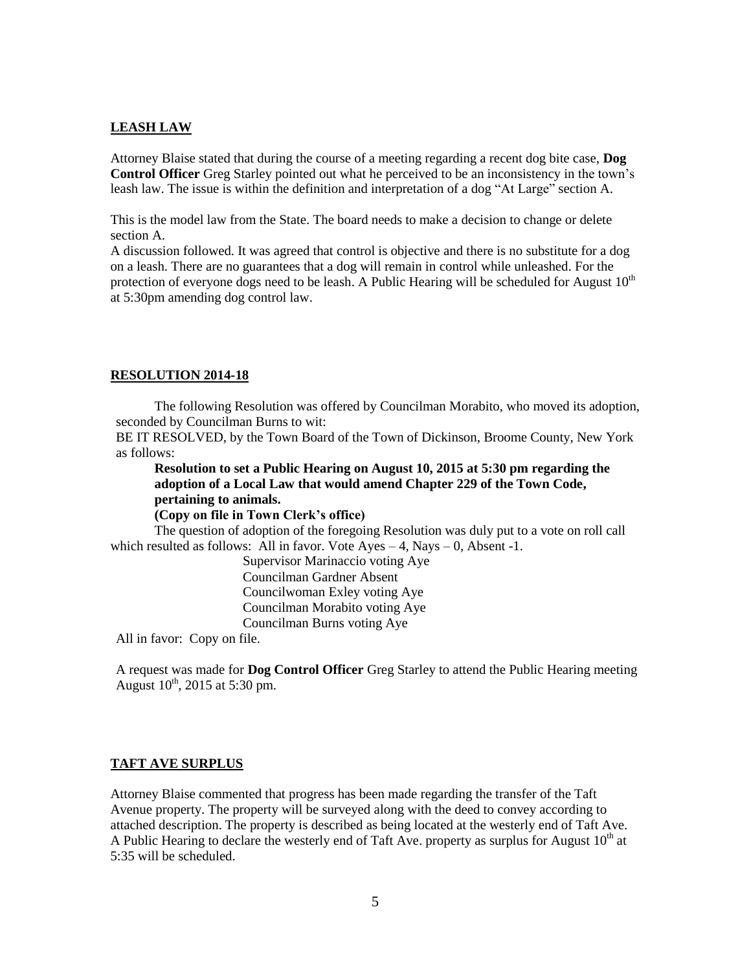#### **LEASH LAW**

Attorney Blaise stated that during the course of a meeting regarding a recent dog bite case, **Dog Control Officer** Greg Starley pointed out what he perceived to be an inconsistency in the town's leash law. The issue is within the definition and interpretation of a dog "At Large" section A.

This is the model law from the State. The board needs to make a decision to change or delete section A.

A discussion followed. It was agreed that control is objective and there is no substitute for a dog on a leash. There are no guarantees that a dog will remain in control while unleashed. For the protection of everyone dogs need to be leash. A Public Hearing will be scheduled for August  $10<sup>th</sup>$ at 5:30pm amending dog control law.

#### **RESOLUTION 2014-18**

The following Resolution was offered by Councilman Morabito, who moved its adoption, seconded by Councilman Burns to wit:

BE IT RESOLVED, by the Town Board of the Town of Dickinson, Broome County, New York as follows:

**Resolution to set a Public Hearing on August 10, 2015 at 5:30 pm regarding the adoption of a Local Law that would amend Chapter 229 of the Town Code, pertaining to animals.**

#### **(Copy on file in Town Clerk's office)**

The question of adoption of the foregoing Resolution was duly put to a vote on roll call which resulted as follows: All in favor. Vote  $Ayes - 4$ , Nays  $-0$ , Absent -1.

> Supervisor Marinaccio voting Aye Councilman Gardner Absent Councilwoman Exley voting Aye Councilman Morabito voting Aye Councilman Burns voting Aye

All in favor: Copy on file.

A request was made for **Dog Control Officer** Greg Starley to attend the Public Hearing meeting August  $10^{th}$ , 2015 at 5:30 pm.

#### **TAFT AVE SURPLUS**

Attorney Blaise commented that progress has been made regarding the transfer of the Taft Avenue property. The property will be surveyed along with the deed to convey according to attached description. The property is described as being located at the westerly end of Taft Ave. A Public Hearing to declare the westerly end of Taft Ave. property as surplus for August  $10<sup>th</sup>$  at 5:35 will be scheduled.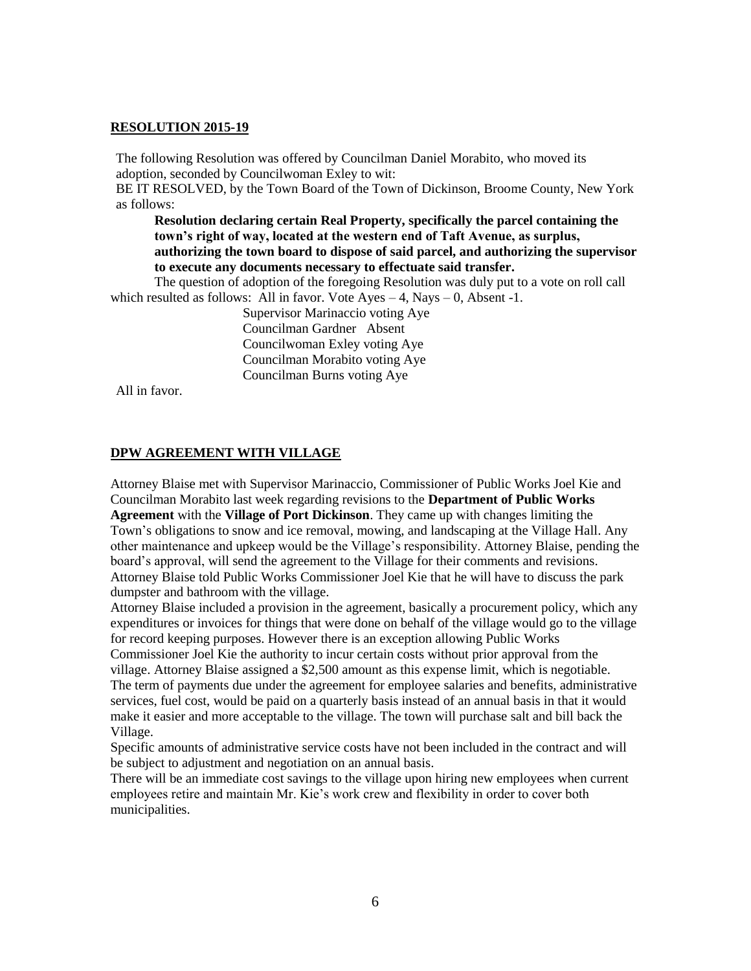#### **RESOLUTION 2015-19**

The following Resolution was offered by Councilman Daniel Morabito, who moved its adoption, seconded by Councilwoman Exley to wit:

BE IT RESOLVED, by the Town Board of the Town of Dickinson, Broome County, New York as follows:

**Resolution declaring certain Real Property, specifically the parcel containing the town's right of way, located at the western end of Taft Avenue, as surplus, authorizing the town board to dispose of said parcel, and authorizing the supervisor to execute any documents necessary to effectuate said transfer.**

The question of adoption of the foregoing Resolution was duly put to a vote on roll call which resulted as follows: All in favor. Vote  $Ayes - 4$ , Nays  $-0$ , Absent -1.

> Supervisor Marinaccio voting Aye Councilman Gardner Absent Councilwoman Exley voting Aye Councilman Morabito voting Aye Councilman Burns voting Aye

All in favor.

#### **DPW AGREEMENT WITH VILLAGE**

Attorney Blaise met with Supervisor Marinaccio, Commissioner of Public Works Joel Kie and Councilman Morabito last week regarding revisions to the **Department of Public Works Agreement** with the **Village of Port Dickinson**. They came up with changes limiting the Town's obligations to snow and ice removal, mowing, and landscaping at the Village Hall. Any other maintenance and upkeep would be the Village's responsibility. Attorney Blaise, pending the board's approval, will send the agreement to the Village for their comments and revisions. Attorney Blaise told Public Works Commissioner Joel Kie that he will have to discuss the park dumpster and bathroom with the village.

Attorney Blaise included a provision in the agreement, basically a procurement policy, which any expenditures or invoices for things that were done on behalf of the village would go to the village for record keeping purposes. However there is an exception allowing Public Works

Commissioner Joel Kie the authority to incur certain costs without prior approval from the village. Attorney Blaise assigned a \$2,500 amount as this expense limit, which is negotiable. The term of payments due under the agreement for employee salaries and benefits, administrative services, fuel cost, would be paid on a quarterly basis instead of an annual basis in that it would make it easier and more acceptable to the village. The town will purchase salt and bill back the Village.

Specific amounts of administrative service costs have not been included in the contract and will be subject to adjustment and negotiation on an annual basis.

There will be an immediate cost savings to the village upon hiring new employees when current employees retire and maintain Mr. Kie's work crew and flexibility in order to cover both municipalities.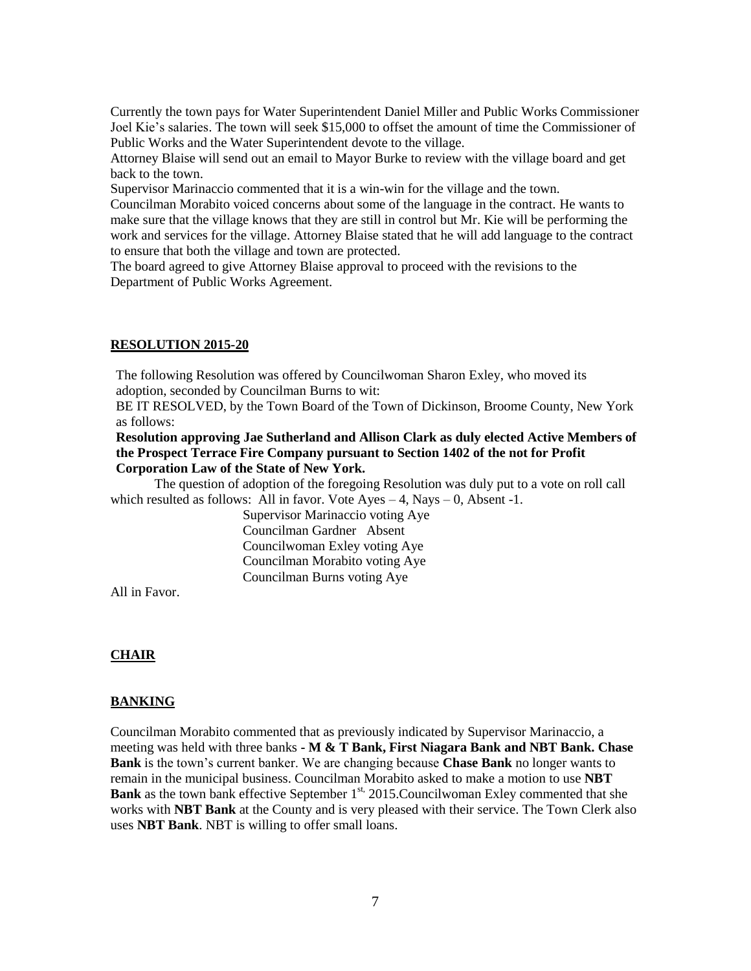Currently the town pays for Water Superintendent Daniel Miller and Public Works Commissioner Joel Kie's salaries. The town will seek \$15,000 to offset the amount of time the Commissioner of Public Works and the Water Superintendent devote to the village.

Attorney Blaise will send out an email to Mayor Burke to review with the village board and get back to the town.

Supervisor Marinaccio commented that it is a win-win for the village and the town.

Councilman Morabito voiced concerns about some of the language in the contract. He wants to make sure that the village knows that they are still in control but Mr. Kie will be performing the work and services for the village. Attorney Blaise stated that he will add language to the contract to ensure that both the village and town are protected.

The board agreed to give Attorney Blaise approval to proceed with the revisions to the Department of Public Works Agreement.

#### **RESOLUTION 2015-20**

The following Resolution was offered by Councilwoman Sharon Exley, who moved its adoption, seconded by Councilman Burns to wit:

BE IT RESOLVED, by the Town Board of the Town of Dickinson, Broome County, New York as follows:

#### **Resolution approving Jae Sutherland and Allison Clark as duly elected Active Members of the Prospect Terrace Fire Company pursuant to Section 1402 of the not for Profit Corporation Law of the State of New York.**

The question of adoption of the foregoing Resolution was duly put to a vote on roll call which resulted as follows: All in favor. Vote  $Ayes - 4$ , Nays  $-0$ , Absent -1.

> Supervisor Marinaccio voting Aye Councilman Gardner Absent Councilwoman Exley voting Aye Councilman Morabito voting Aye Councilman Burns voting Aye

All in Favor.

### **CHAIR**

### **BANKING**

Councilman Morabito commented that as previously indicated by Supervisor Marinaccio, a meeting was held with three banks **- M & T Bank, First Niagara Bank and NBT Bank. Chase Bank** is the town's current banker. We are changing because **Chase Bank** no longer wants to remain in the municipal business. Councilman Morabito asked to make a motion to use **NBT**  Bank as the town bank effective September 1<sup>st,</sup> 2015. Councilwoman Exley commented that she works with **NBT Bank** at the County and is very pleased with their service. The Town Clerk also uses **NBT Bank**. NBT is willing to offer small loans.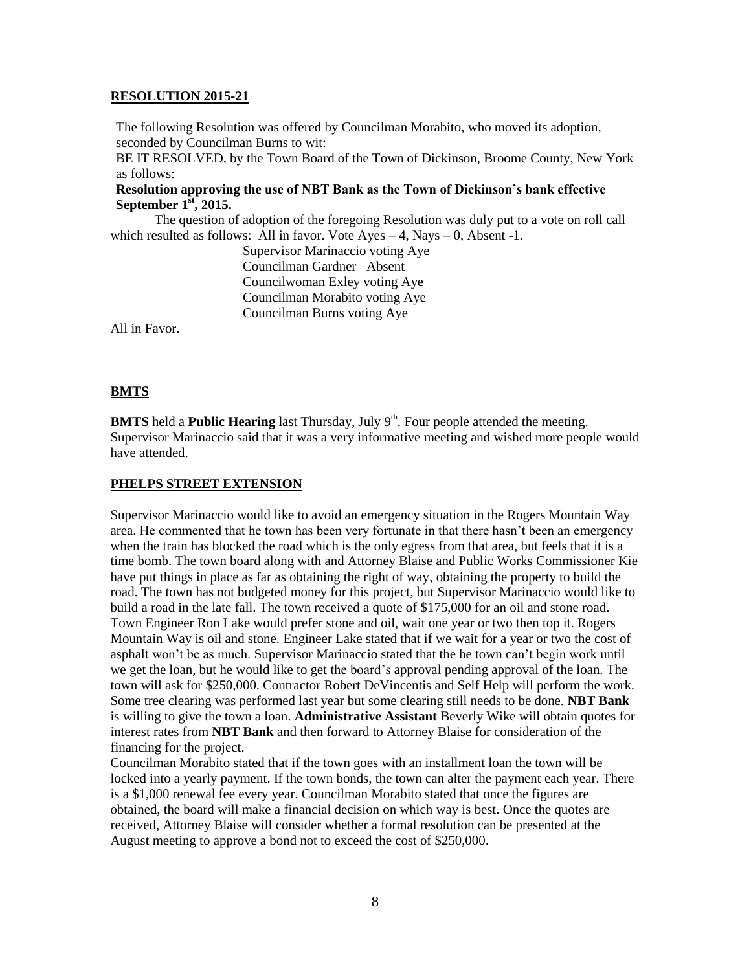#### **RESOLUTION 2015-21**

The following Resolution was offered by Councilman Morabito, who moved its adoption, seconded by Councilman Burns to wit:

BE IT RESOLVED, by the Town Board of the Town of Dickinson, Broome County, New York as follows:

#### **Resolution approving the use of NBT Bank as the Town of Dickinson's bank effective September 1 st , 2015.**

The question of adoption of the foregoing Resolution was duly put to a vote on roll call which resulted as follows: All in favor. Vote  $Ayes - 4$ , Nays  $- 0$ , Absent -1.

> Supervisor Marinaccio voting Aye Councilman Gardner Absent Councilwoman Exley voting Aye Councilman Morabito voting Aye Councilman Burns voting Aye

All in Favor.

### **BMTS**

**BMTS** held a **Public Hearing** last Thursday, July 9<sup>th</sup>. Four people attended the meeting. Supervisor Marinaccio said that it was a very informative meeting and wished more people would have attended.

#### **PHELPS STREET EXTENSION**

Supervisor Marinaccio would like to avoid an emergency situation in the Rogers Mountain Way area. He commented that he town has been very fortunate in that there hasn't been an emergency when the train has blocked the road which is the only egress from that area, but feels that it is a time bomb. The town board along with and Attorney Blaise and Public Works Commissioner Kie have put things in place as far as obtaining the right of way, obtaining the property to build the road. The town has not budgeted money for this project, but Supervisor Marinaccio would like to build a road in the late fall. The town received a quote of \$175,000 for an oil and stone road. Town Engineer Ron Lake would prefer stone and oil, wait one year or two then top it. Rogers Mountain Way is oil and stone. Engineer Lake stated that if we wait for a year or two the cost of asphalt won't be as much. Supervisor Marinaccio stated that the he town can't begin work until we get the loan, but he would like to get the board's approval pending approval of the loan. The town will ask for \$250,000. Contractor Robert DeVincentis and Self Help will perform the work. Some tree clearing was performed last year but some clearing still needs to be done. **NBT Bank** is willing to give the town a loan. **Administrative Assistant** Beverly Wike will obtain quotes for interest rates from **NBT Bank** and then forward to Attorney Blaise for consideration of the financing for the project.

Councilman Morabito stated that if the town goes with an installment loan the town will be locked into a yearly payment. If the town bonds, the town can alter the payment each year. There is a \$1,000 renewal fee every year. Councilman Morabito stated that once the figures are obtained, the board will make a financial decision on which way is best. Once the quotes are received, Attorney Blaise will consider whether a formal resolution can be presented at the August meeting to approve a bond not to exceed the cost of \$250,000.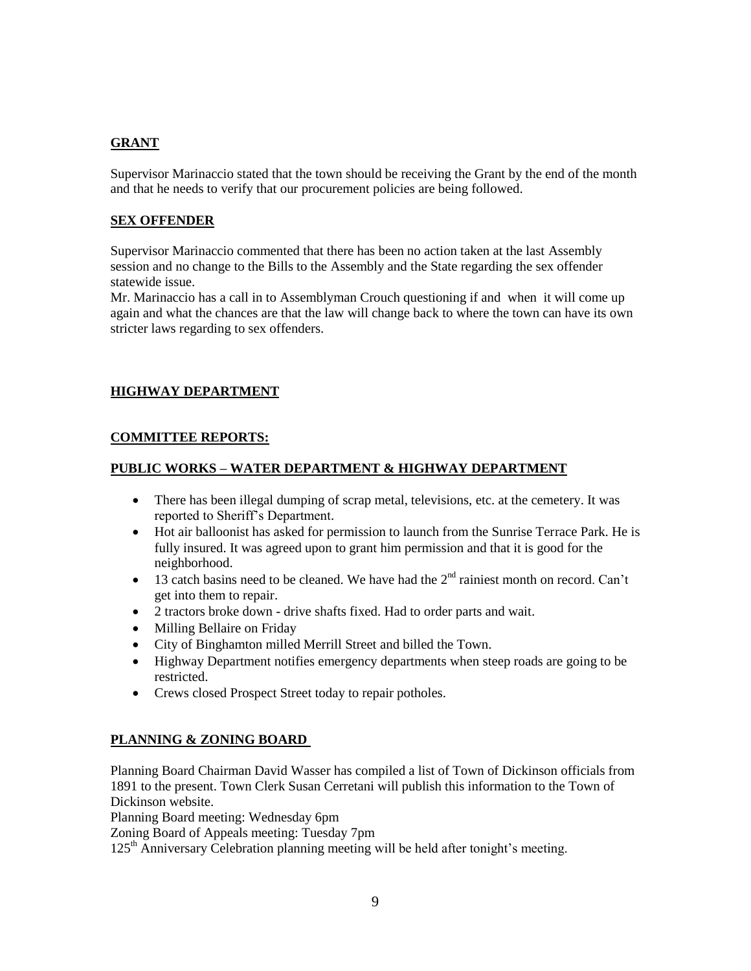# **GRANT**

Supervisor Marinaccio stated that the town should be receiving the Grant by the end of the month and that he needs to verify that our procurement policies are being followed.

### **SEX OFFENDER**

Supervisor Marinaccio commented that there has been no action taken at the last Assembly session and no change to the Bills to the Assembly and the State regarding the sex offender statewide issue.

Mr. Marinaccio has a call in to Assemblyman Crouch questioning if and when it will come up again and what the chances are that the law will change back to where the town can have its own stricter laws regarding to sex offenders.

# **HIGHWAY DEPARTMENT**

# **COMMITTEE REPORTS:**

# **PUBLIC WORKS – WATER DEPARTMENT & HIGHWAY DEPARTMENT**

- There has been illegal dumping of scrap metal, televisions, etc. at the cemetery. It was reported to Sheriff's Department.
- Hot air balloonist has asked for permission to launch from the Sunrise Terrace Park. He is fully insured. It was agreed upon to grant him permission and that it is good for the neighborhood.
- $\bullet$  13 catch basins need to be cleaned. We have had the  $2<sup>nd</sup>$  rainiest month on record. Can't get into them to repair.
- 2 tractors broke down drive shafts fixed. Had to order parts and wait.
- Milling Bellaire on Friday
- City of Binghamton milled Merrill Street and billed the Town.
- Highway Department notifies emergency departments when steep roads are going to be restricted.
- Crews closed Prospect Street today to repair potholes.

### **PLANNING & ZONING BOARD**

Planning Board Chairman David Wasser has compiled a list of Town of Dickinson officials from 1891 to the present. Town Clerk Susan Cerretani will publish this information to the Town of Dickinson website.

Planning Board meeting: Wednesday 6pm

Zoning Board of Appeals meeting: Tuesday 7pm

125th Anniversary Celebration planning meeting will be held after tonight's meeting.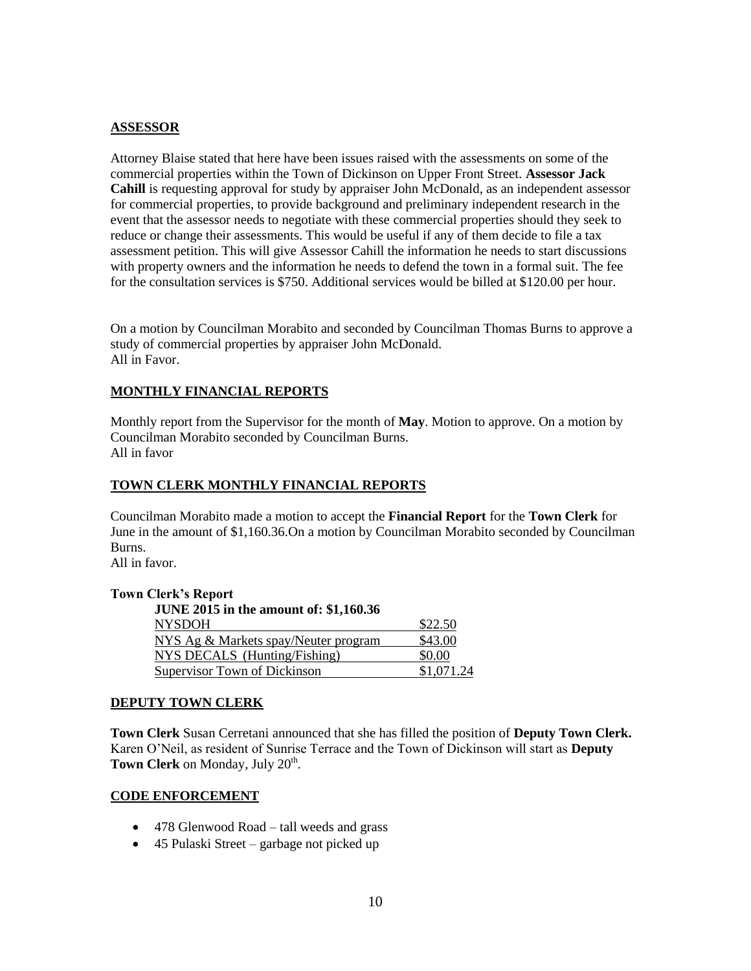# **ASSESSOR**

Attorney Blaise stated that here have been issues raised with the assessments on some of the commercial properties within the Town of Dickinson on Upper Front Street. **Assessor Jack Cahill** is requesting approval for study by appraiser John McDonald, as an independent assessor for commercial properties, to provide background and preliminary independent research in the event that the assessor needs to negotiate with these commercial properties should they seek to reduce or change their assessments. This would be useful if any of them decide to file a tax assessment petition. This will give Assessor Cahill the information he needs to start discussions with property owners and the information he needs to defend the town in a formal suit. The fee for the consultation services is \$750. Additional services would be billed at \$120.00 per hour.

On a motion by Councilman Morabito and seconded by Councilman Thomas Burns to approve a study of commercial properties by appraiser John McDonald. All in Favor.

# **MONTHLY FINANCIAL REPORTS**

Monthly report from the Supervisor for the month of **May**. Motion to approve. On a motion by Councilman Morabito seconded by Councilman Burns. All in favor

### **TOWN CLERK MONTHLY FINANCIAL REPORTS**

Councilman Morabito made a motion to accept the **Financial Report** for the **Town Clerk** for June in the amount of \$1,160.36.On a motion by Councilman Morabito seconded by Councilman Burns.

All in favor.

#### **Town Clerk's Report**

| <b>JUNE 2015 in the amount of: \$1,160.36</b> |            |
|-----------------------------------------------|------------|
| <b>NYSDOH</b>                                 | \$22.50    |
| NYS Ag & Markets spay/Neuter program          | \$43.00    |
| NYS DECALS (Hunting/Fishing)                  | \$0.00     |
| Supervisor Town of Dickinson                  | \$1,071.24 |

#### **DEPUTY TOWN CLERK**

**Town Clerk** Susan Cerretani announced that she has filled the position of **Deputy Town Clerk.** Karen O'Neil, as resident of Sunrise Terrace and the Town of Dickinson will start as **Deputy**  Town Clerk on Monday, July 20<sup>th</sup>.

### **CODE ENFORCEMENT**

- 478 Glenwood Road tall weeds and grass
- 45 Pulaski Street garbage not picked up